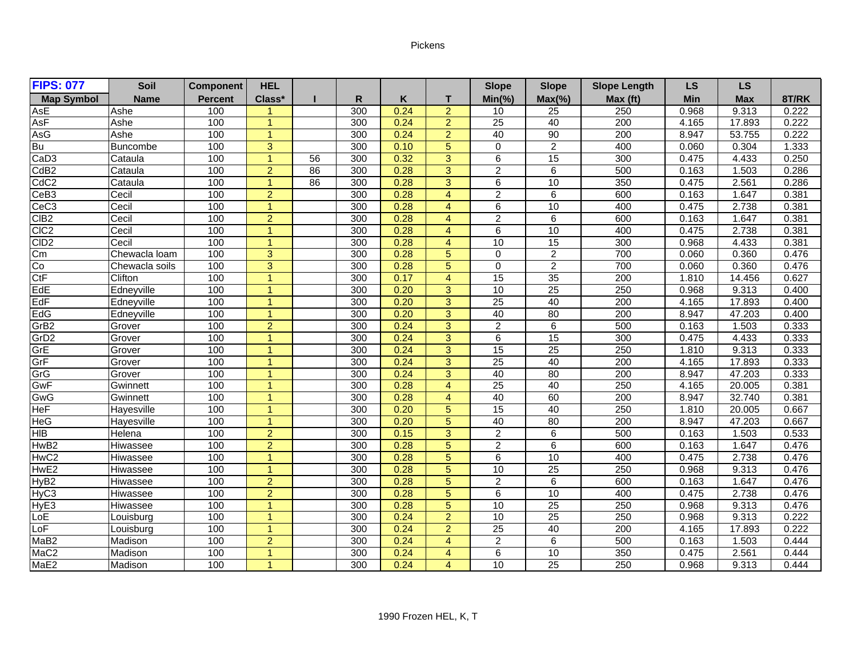## Pickens

| <b>FIPS: 077</b>  | <b>Soil</b>    | <b>Component</b> | <b>HEL</b>     |    |     |      |                | <b>Slope</b>    | <b>Slope</b>    | <b>Slope Length</b> | <b>LS</b>  | <b>LS</b>  |       |
|-------------------|----------------|------------------|----------------|----|-----|------|----------------|-----------------|-----------------|---------------------|------------|------------|-------|
| <b>Map Symbol</b> | <b>Name</b>    | <b>Percent</b>   | Class*         |    | R   | Κ    | т              | $Min(\% )$      | $Max(\% )$      | Max (ft)            | <b>Min</b> | <b>Max</b> | 8T/RK |
| AsE               | Ashe           | 100              |                |    | 300 | 0.24 | $\overline{2}$ | 10              | 25              | 250                 | 0.968      | 9.313      | 0.222 |
| AsF               | Ashe           | 100              | $\overline{1}$ |    | 300 | 0.24 | $\overline{2}$ | 25              | 40              | 200                 | 4.165      | 17.893     | 0.222 |
| AsG               | Ashe           | 100              | $\overline{1}$ |    | 300 | 0.24 | $\overline{2}$ | 40              | 90              | 200                 | 8.947      | 53.755     | 0.222 |
| Bu                | Buncombe       | 100              | 3              |    | 300 | 0.10 | 5              | $\mathbf 0$     | $\overline{2}$  | 400                 | 0.060      | 0.304      | 1.333 |
| CaD <sub>3</sub>  | Cataula        | 100              | $\overline{1}$ | 56 | 300 | 0.32 | $\overline{3}$ | $\overline{6}$  | 15              | 300                 | 0.475      | 4.433      | 0.250 |
| CdB <sub>2</sub>  | Cataula        | 100              | $\overline{2}$ | 86 | 300 | 0.28 | 3              | $\overline{2}$  | 6               | 500                 | 0.163      | 1.503      | 0.286 |
| CdC <sub>2</sub>  | Cataula        | 100              | $\overline{1}$ | 86 | 300 | 0.28 | $\overline{3}$ | $\overline{6}$  | 10              | 350                 | 0.475      | 2.561      | 0.286 |
| CeB <sub>3</sub>  | Cecil          | 100              | $\overline{2}$ |    | 300 | 0.28 | $\overline{4}$ | $\overline{2}$  | 6               | 600                 | 0.163      | 1.647      | 0.381 |
| CeC <sub>3</sub>  | Cecil          | 100              | $\overline{1}$ |    | 300 | 0.28 | $\overline{4}$ | 6               | 10              | 400                 | 0.475      | 2.738      | 0.381 |
| CIB <sub>2</sub>  | Cecil          | 100              | $\overline{2}$ |    | 300 | 0.28 | $\overline{4}$ | $\overline{2}$  | 6               | 600                 | 0.163      | 1.647      | 0.381 |
| CIC <sub>2</sub>  | Cecil          | 100              | -1             |    | 300 | 0.28 | $\overline{4}$ | 6               | 10              | 400                 | 0.475      | 2.738      | 0.381 |
| CID <sub>2</sub>  | Cecil          | 100              | $\overline{1}$ |    | 300 | 0.28 | $\overline{4}$ | 10              | 15              | 300                 | 0.968      | 4.433      | 0.381 |
| Cm                | Chewacla loam  | 100              | 3              |    | 300 | 0.28 | $\overline{5}$ | $\mathbf 0$     | $\overline{2}$  | 700                 | 0.060      | 0.360      | 0.476 |
| Co                | Chewacla soils | 100              | $\overline{3}$ |    | 300 | 0.28 | $\overline{5}$ | $\overline{0}$  | $\overline{2}$  | 700                 | 0.060      | 0.360      | 0.476 |
| CtF               | Clifton        | 100              | $\overline{1}$ |    | 300 | 0.17 | $\overline{4}$ | $\overline{15}$ | $\overline{35}$ | $\overline{200}$    | 1.810      | 14.456     | 0.627 |
| EdE               | Edneyville     | 100              | $\overline{1}$ |    | 300 | 0.20 | 3              | 10              | $\overline{25}$ | 250                 | 0.968      | 9.313      | 0.400 |
| EdF               | Edneyville     | 100              | и              |    | 300 | 0.20 | $\overline{3}$ | $\overline{25}$ | 40              | 200                 | 4.165      | 17.893     | 0.400 |
| EdG               | Edneyville     | 100              | $\overline{1}$ |    | 300 | 0.20 | $\overline{3}$ | 40              | 80              | 200                 | 8.947      | 47.203     | 0.400 |
| GrB <sub>2</sub>  | Grover         | 100              | $\overline{2}$ |    | 300 | 0.24 | $\overline{3}$ | $\overline{2}$  | 6               | 500                 | 0.163      | 1.503      | 0.333 |
| GrD <sub>2</sub>  | Grover         | 100              | $\overline{1}$ |    | 300 | 0.24 | 3              | 6               | 15              | 300                 | 0.475      | 4.433      | 0.333 |
| GrE               | Grover         | 100              | $\overline{1}$ |    | 300 | 0.24 | 3              | 15              | $\overline{25}$ | 250                 | 1.810      | 9.313      | 0.333 |
| GrF               | Grover         | 100              | $\overline{ }$ |    | 300 | 0.24 | $\overline{3}$ | $\overline{25}$ | 40              | 200                 | 4.165      | 17.893     | 0.333 |
| GrG               | Grover         | 100              | $\overline{1}$ |    | 300 | 0.24 | $\overline{3}$ | 40              | 80              | 200                 | 8.947      | 47.203     | 0.333 |
| GwF               | Gwinnett       | 100              | $\overline{1}$ |    | 300 | 0.28 | $\overline{4}$ | $\overline{25}$ | 40              | 250                 | 4.165      | 20.005     | 0.381 |
| GwG               | Gwinnett       | 100              | $\overline{1}$ |    | 300 | 0.28 | $\overline{4}$ | 40              | 60              | 200                 | 8.947      | 32.740     | 0.381 |
| <b>HeF</b>        | Hayesville     | 100              | -1             |    | 300 | 0.20 | 5              | 15              | 40              | 250                 | 1.810      | 20.005     | 0.667 |
| <b>HeG</b>        | Hayesville     | 100              | и              |    | 300 | 0.20 | $\overline{5}$ | 40              | 80              | 200                 | 8.947      | 47.203     | 0.667 |
| <b>HIB</b>        | Helena         | 100              | $\overline{2}$ |    | 300 | 0.15 | 3              | $\overline{2}$  | $\overline{6}$  | 500                 | 0.163      | 1.503      | 0.533 |
| HwB <sub>2</sub>  | Hiwassee       | 100              | $\overline{2}$ |    | 300 | 0.28 | 5              | $\overline{2}$  | 6               | 600                 | 0.163      | 1.647      | 0.476 |
| HwC <sub>2</sub>  | Hiwassee       | 100              | $\overline{1}$ |    | 300 | 0.28 | 5              | 6               | 10              | 400                 | 0.475      | 2.738      | 0.476 |
| HwE2              | Hiwassee       | 100              | -1             |    | 300 | 0.28 | 5              | 10              | $\overline{25}$ | 250                 | 0.968      | 9.313      | 0.476 |
| HyB <sub>2</sub>  | Hiwassee       | 100              | $\overline{2}$ |    | 300 | 0.28 | 5              | $\overline{2}$  | 6               | 600                 | 0.163      | 1.647      | 0.476 |
| HyC <sub>3</sub>  | Hiwassee       | 100              | $\overline{2}$ |    | 300 | 0.28 | $\overline{5}$ | 6               | 10              | 400                 | 0.475      | 2.738      | 0.476 |
| HyE <sub>3</sub>  | Hiwassee       | 100              | $\overline{1}$ |    | 300 | 0.28 | 5              | 10              | $\overline{25}$ | 250                 | 0.968      | 9.313      | 0.476 |
| LoE               | Louisburg      | 100              | $\overline{1}$ |    | 300 | 0.24 | $\overline{a}$ | 10              | 25              | 250                 | 0.968      | 9.313      | 0.222 |
| LoF               | Louisburg      | 100              | -1             |    | 300 | 0.24 | $\overline{2}$ | 25              | 40              | 200                 | 4.165      | 17.893     | 0.222 |
| MaB <sub>2</sub>  | Madison        | 100              | $\overline{2}$ |    | 300 | 0.24 | $\overline{4}$ | $\overline{2}$  | 6               | 500                 | 0.163      | 1.503      | 0.444 |
| MaC <sub>2</sub>  | Madison        | 100              | $\overline{1}$ |    | 300 | 0.24 | $\overline{4}$ | $\overline{6}$  | 10              | 350                 | 0.475      | 2.561      | 0.444 |
| MaE2              | Madison        | 100              | $\overline{1}$ |    | 300 | 0.24 | $\overline{4}$ | 10              | $\overline{25}$ | 250                 | 0.968      | 9.313      | 0.444 |